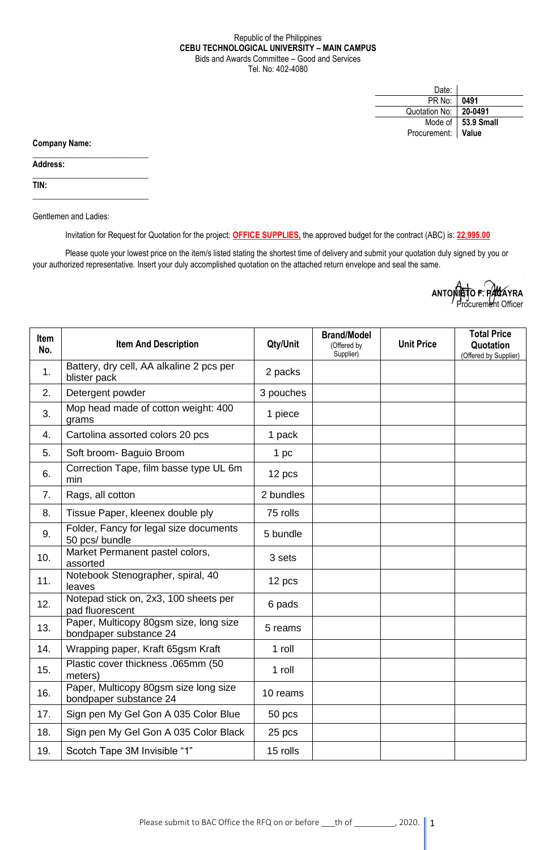## Republic of the Philippines **CEBU TECHNOLOGICAL UNIVERSITY – MAIN CAMPUS** Bids and Awards Committee – Good and Services Tel. No: 402-4080

| Date:              |                      |
|--------------------|----------------------|
| PR No:             | 0491                 |
| Quotation No:      | 20-0491              |
|                    | Mode of   53.9 Small |
| Procurement: Value |                      |

**Company Name:**

**Address:** 

**TIN:**

Gentlemen and Ladies:

 $\_$ 

 $\_$ 

\_\_\_\_\_\_\_\_\_\_\_\_\_\_\_\_\_\_\_\_\_\_\_\_\_\_\_\_

Invitation for Request for Quotation for the project: **OFFICE SUPPLIES,** the approved budget for the contract (ABC) is: **22,995.00**

Please quote your lowest price on the item/s listed stating the shortest time of delivery and submit your quotation duly signed by you or your authorized representative. Insert your duly accomplished quotation on the attached return envelope and seal the same.

| ANTONIETO F. PACAYRA |  |
|----------------------|--|
| Procurement Officer  |  |

| <b>Item</b><br>No. | <b>Item And Description</b>                                      | Qty/Unit  | <b>Brand/Model</b><br>(Offered by<br>Supplier) | <b>Unit Price</b> | <b>Total Price</b><br>Quotation<br>(Offered by Supplier) |
|--------------------|------------------------------------------------------------------|-----------|------------------------------------------------|-------------------|----------------------------------------------------------|
| 1.                 | Battery, dry cell, AA alkaline 2 pcs per<br>blister pack         | 2 packs   |                                                |                   |                                                          |
| 2.                 | Detergent powder                                                 | 3 pouches |                                                |                   |                                                          |
| 3.                 | Mop head made of cotton weight: 400<br>grams                     | 1 piece   |                                                |                   |                                                          |
| 4.                 | Cartolina assorted colors 20 pcs                                 | 1 pack    |                                                |                   |                                                          |
| 5.                 | Soft broom- Baguio Broom                                         | 1 pc      |                                                |                   |                                                          |
| 6.                 | Correction Tape, film basse type UL 6m<br>min                    | 12 pcs    |                                                |                   |                                                          |
| 7.                 | Rags, all cotton                                                 | 2 bundles |                                                |                   |                                                          |
| 8.                 | Tissue Paper, kleenex double ply                                 | 75 rolls  |                                                |                   |                                                          |
| 9.                 | Folder, Fancy for legal size documents<br>50 pcs/ bundle         | 5 bundle  |                                                |                   |                                                          |
| 10.                | Market Permanent pastel colors,<br>assorted                      | 3 sets    |                                                |                   |                                                          |
| 11.                | Notebook Stenographer, spiral, 40<br>leaves                      | 12 pcs    |                                                |                   |                                                          |
| 12.                | Notepad stick on, 2x3, 100 sheets per<br>pad fluorescent         | 6 pads    |                                                |                   |                                                          |
| 13.                | Paper, Multicopy 80gsm size, long size<br>bondpaper substance 24 | 5 reams   |                                                |                   |                                                          |
| 14.                | Wrapping paper, Kraft 65gsm Kraft                                | 1 roll    |                                                |                   |                                                          |
| 15.                | Plastic cover thickness .065mm (50<br>meters)                    | 1 roll    |                                                |                   |                                                          |
| 16.                | Paper, Multicopy 80gsm size long size<br>bondpaper substance 24  | 10 reams  |                                                |                   |                                                          |
| 17.                | Sign pen My Gel Gon A 035 Color Blue                             | 50 pcs    |                                                |                   |                                                          |
| 18.                | Sign pen My Gel Gon A 035 Color Black                            | 25 pcs    |                                                |                   |                                                          |
| 19.                | Scotch Tape 3M Invisible "1"                                     | 15 rolls  |                                                |                   |                                                          |